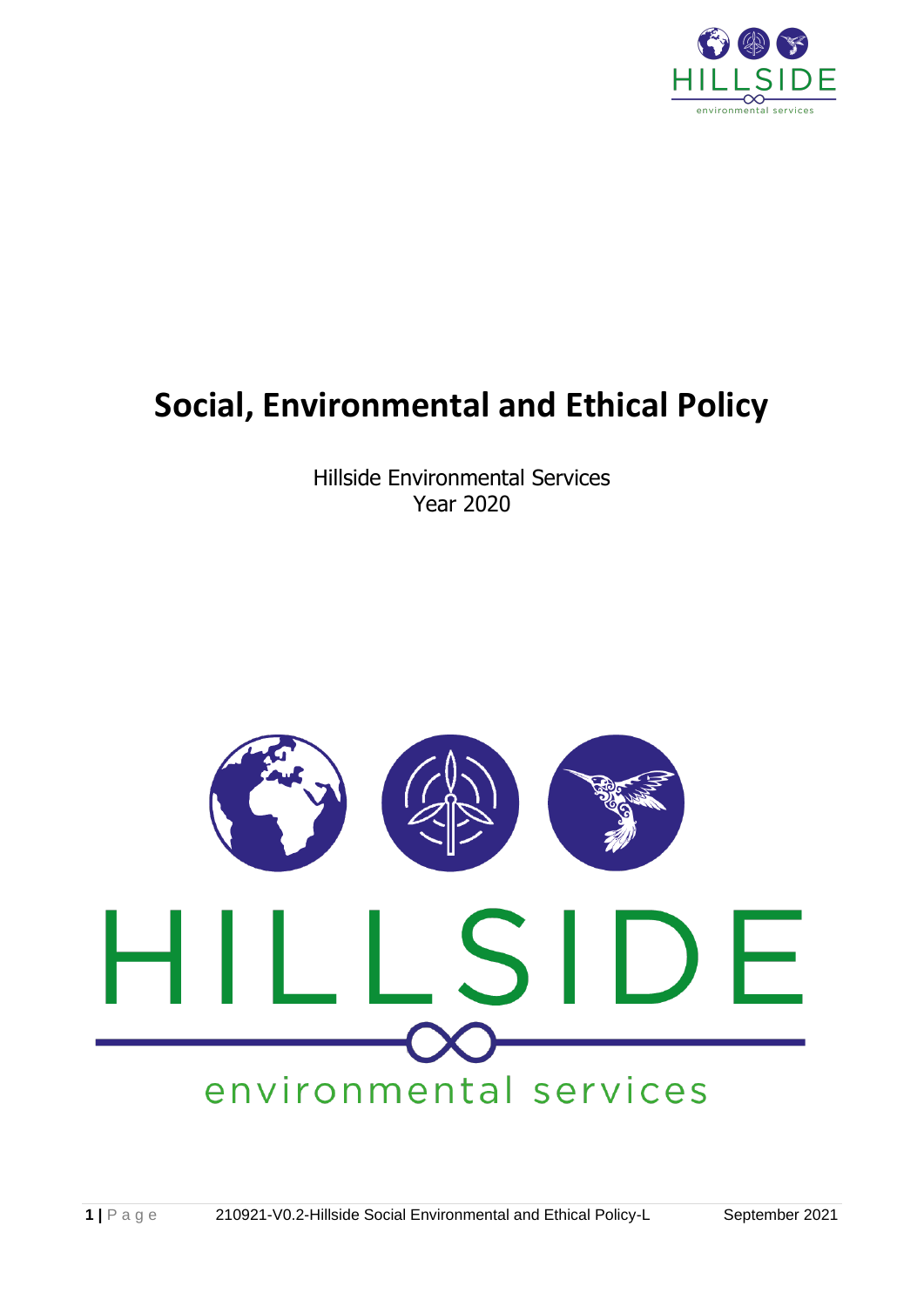

# **Social, Environmental and Ethical Policy**

Hillside Environmental Services Year 2020

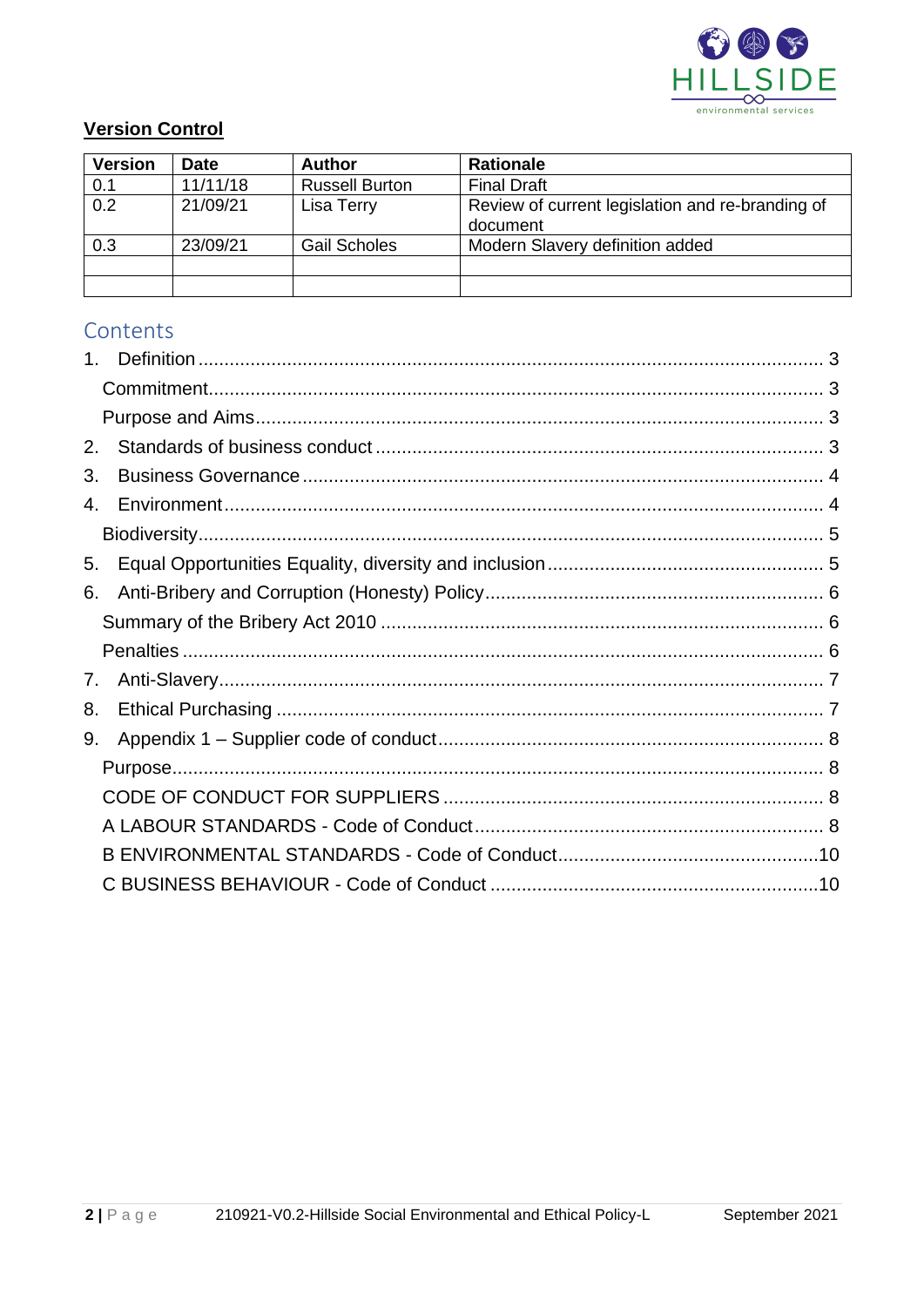

## **Version Control**

| <b>Version</b> | <b>Date</b> | <b>Author</b>         | <b>Rationale</b>                                             |
|----------------|-------------|-----------------------|--------------------------------------------------------------|
| 0.1            | 11/11/18    | <b>Russell Burton</b> | <b>Final Draft</b>                                           |
| 0.2            | 21/09/21    | Lisa Terry            | Review of current legislation and re-branding of<br>document |
| 0.3            | 23/09/21    | <b>Gail Scholes</b>   | Modern Slavery definition added                              |
|                |             |                       |                                                              |
|                |             |                       |                                                              |

# Contents

| 2.                             |  |
|--------------------------------|--|
| 3.                             |  |
| $\mathbf{A}$                   |  |
|                                |  |
| 5.                             |  |
| 6.                             |  |
|                                |  |
|                                |  |
| $7_{\scriptscriptstyle{\sim}}$ |  |
| 8.                             |  |
| 9.                             |  |
|                                |  |
|                                |  |
|                                |  |
|                                |  |
|                                |  |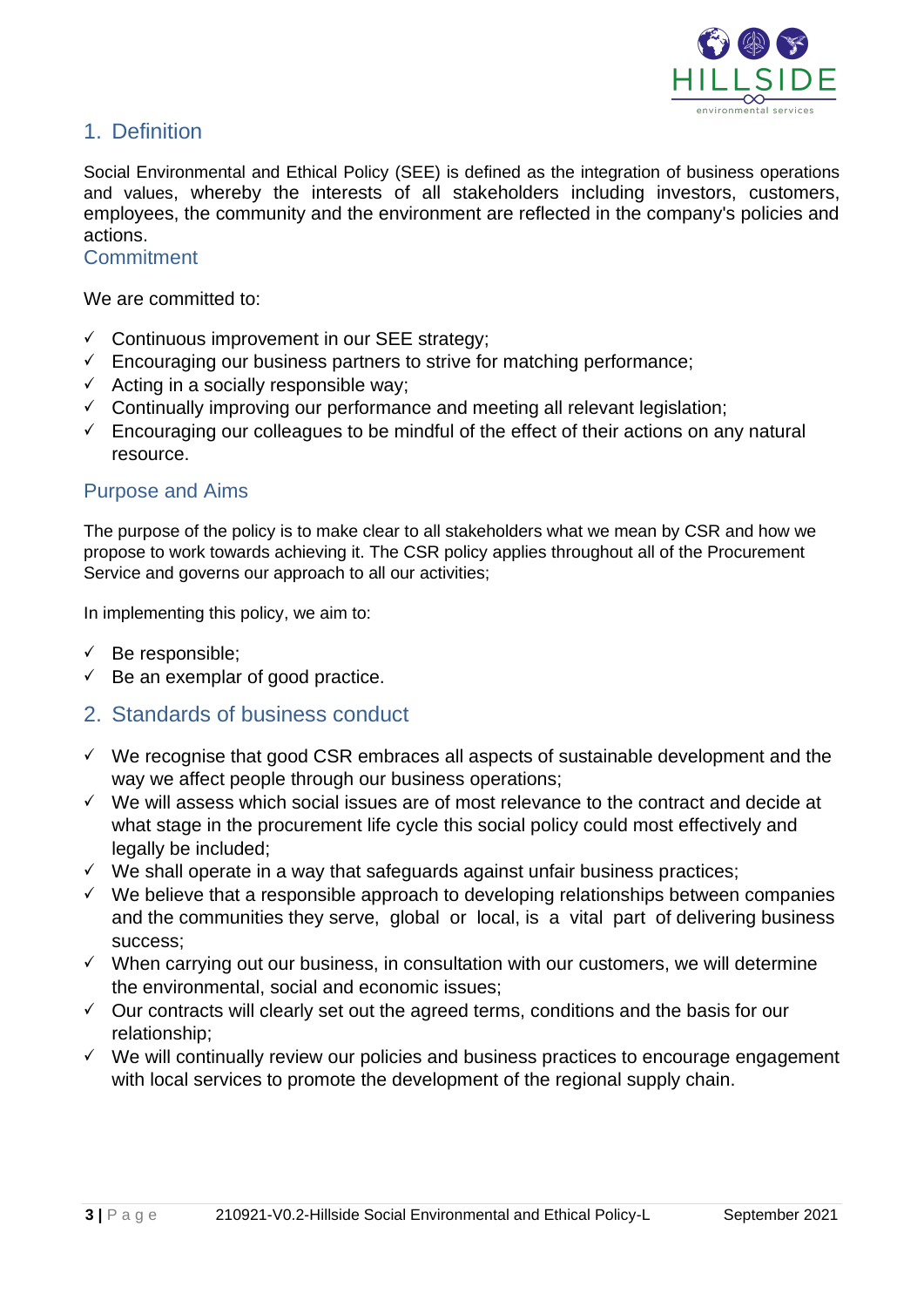

## 1. Definition

Social Environmental and Ethical Policy (SEE) is defined as the integration of business operations and values, whereby the interests of all stakeholders including investors, customers, employees, the community and the environment are reflected in the company's policies and actions.

#### **Commitment**

We are committed to:

- ✓ Continuous improvement in our SEE strategy;
- $\checkmark$  Encouraging our business partners to strive for matching performance;
- $\checkmark$  Acting in a socially responsible way;
- $\checkmark$  Continually improving our performance and meeting all relevant legislation;
- $\checkmark$  Encouraging our colleagues to be mindful of the effect of their actions on any natural resource.

#### Purpose and Aims

The purpose of the policy is to make clear to all stakeholders what we mean by CSR and how we propose to work towards achieving it. The CSR policy applies throughout all of the Procurement Service and governs our approach to all our activities;

In implementing this policy, we aim to:

- $\checkmark$  Be responsible;
- $\checkmark$  Be an exemplar of good practice.
- 2. Standards of business conduct
- $\checkmark$  We recognise that good CSR embraces all aspects of sustainable development and the way we affect people through our business operations;
- ✓ We will assess which social issues are of most relevance to the contract and decide at what stage in the procurement life cycle this social policy could most effectively and legally be included;
- ✓ We shall operate in a way that safeguards against unfair business practices;
- ✓ We believe that a responsible approach to developing relationships between companies and the communities they serve, global or local, is a vital part of delivering business success;
- $\checkmark$  When carrying out our business, in consultation with our customers, we will determine the environmental, social and economic issues;
- $\checkmark$  Our contracts will clearly set out the agreed terms, conditions and the basis for our relationship;
- $\checkmark$  We will continually review our policies and business practices to encourage engagement with local services to promote the development of the regional supply chain.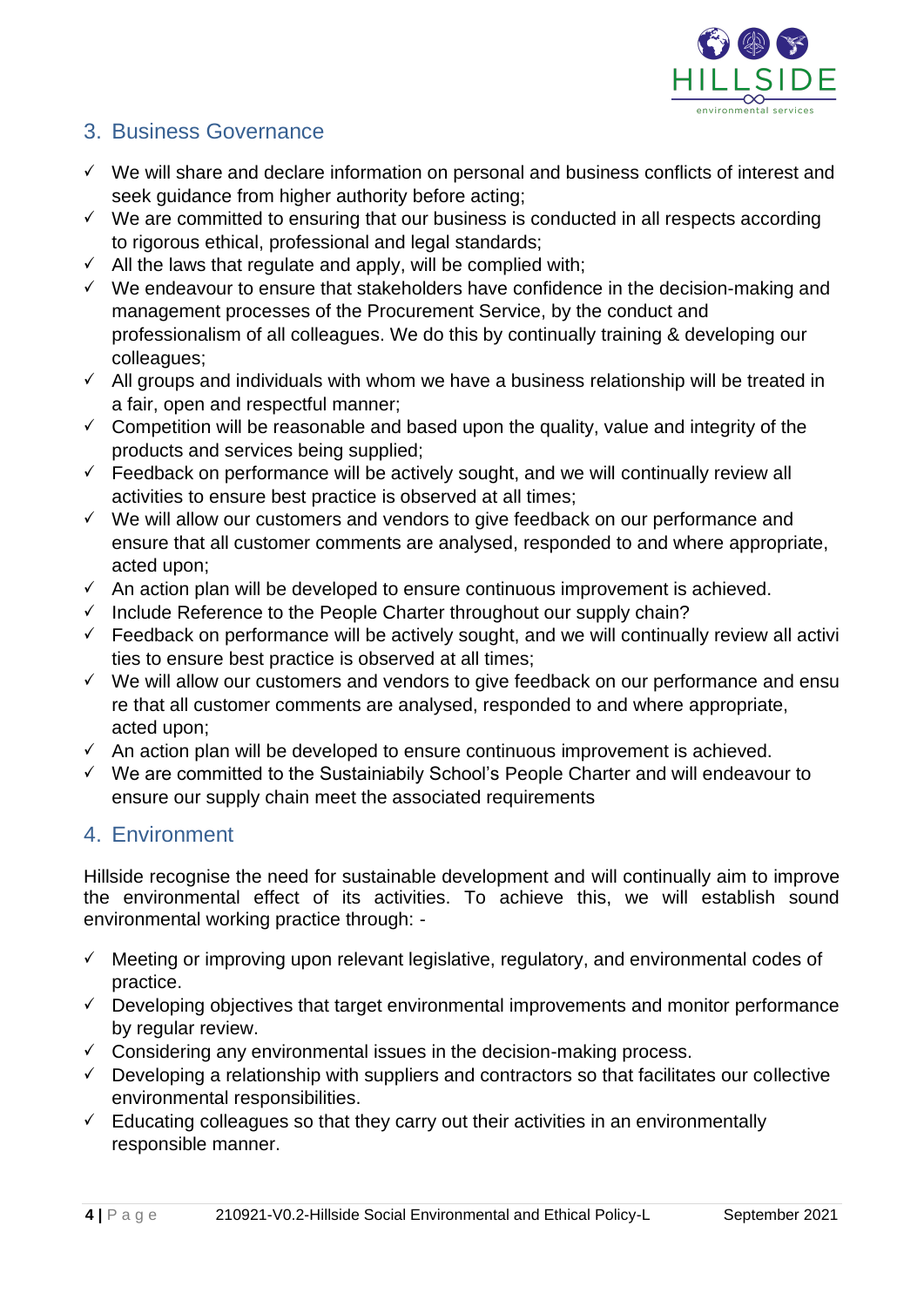

# 3. Business Governance

- ✓ We will share and declare information on personal and business conflicts of interest and seek guidance from higher authority before acting;
- $\checkmark$  We are committed to ensuring that our business is conducted in all respects according to rigorous ethical, professional and legal standards;
- $\checkmark$  All the laws that regulate and apply, will be complied with:
- ✓ We endeavour to ensure that stakeholders have confidence in the decision-making and management processes of the Procurement Service, by the conduct and professionalism of all colleagues. We do this by continually training & developing our colleagues;
- $\checkmark$  All groups and individuals with whom we have a business relationship will be treated in a fair, open and respectful manner;
- $\checkmark$  Competition will be reasonable and based upon the quality, value and integrity of the products and services being supplied;
- $\checkmark$  Feedback on performance will be actively sought, and we will continually review all activities to ensure best practice is observed at all times;
- ✓ We will allow our customers and vendors to give feedback on our performance and ensure that all customer comments are analysed, responded to and where appropriate, acted upon;
- $\checkmark$  An action plan will be developed to ensure continuous improvement is achieved.
- $\checkmark$  Include Reference to the People Charter throughout our supply chain?
- $\checkmark$  Feedback on performance will be actively sought, and we will continually review all activi ties to ensure best practice is observed at all times;
- ✓ We will allow our customers and vendors to give feedback on our performance and ensu re that all customer comments are analysed, responded to and where appropriate, acted upon;
- $\checkmark$  An action plan will be developed to ensure continuous improvement is achieved.
- ✓ We are committed to the Sustainiabily School's People Charter and will endeavour to ensure our supply chain meet the associated requirements

# 4. Environment

Hillside recognise the need for sustainable development and will continually aim to improve the environmental effect of its activities. To achieve this, we will establish sound environmental working practice through: -

- $\checkmark$  Meeting or improving upon relevant legislative, regulatory, and environmental codes of practice.
- $\checkmark$  Developing objectives that target environmental improvements and monitor performance by regular review.
- $\checkmark$  Considering any environmental issues in the decision-making process.
- $\checkmark$  Developing a relationship with suppliers and contractors so that facilitates our collective environmental responsibilities.
- $\checkmark$  Educating colleagues so that they carry out their activities in an environmentally responsible manner.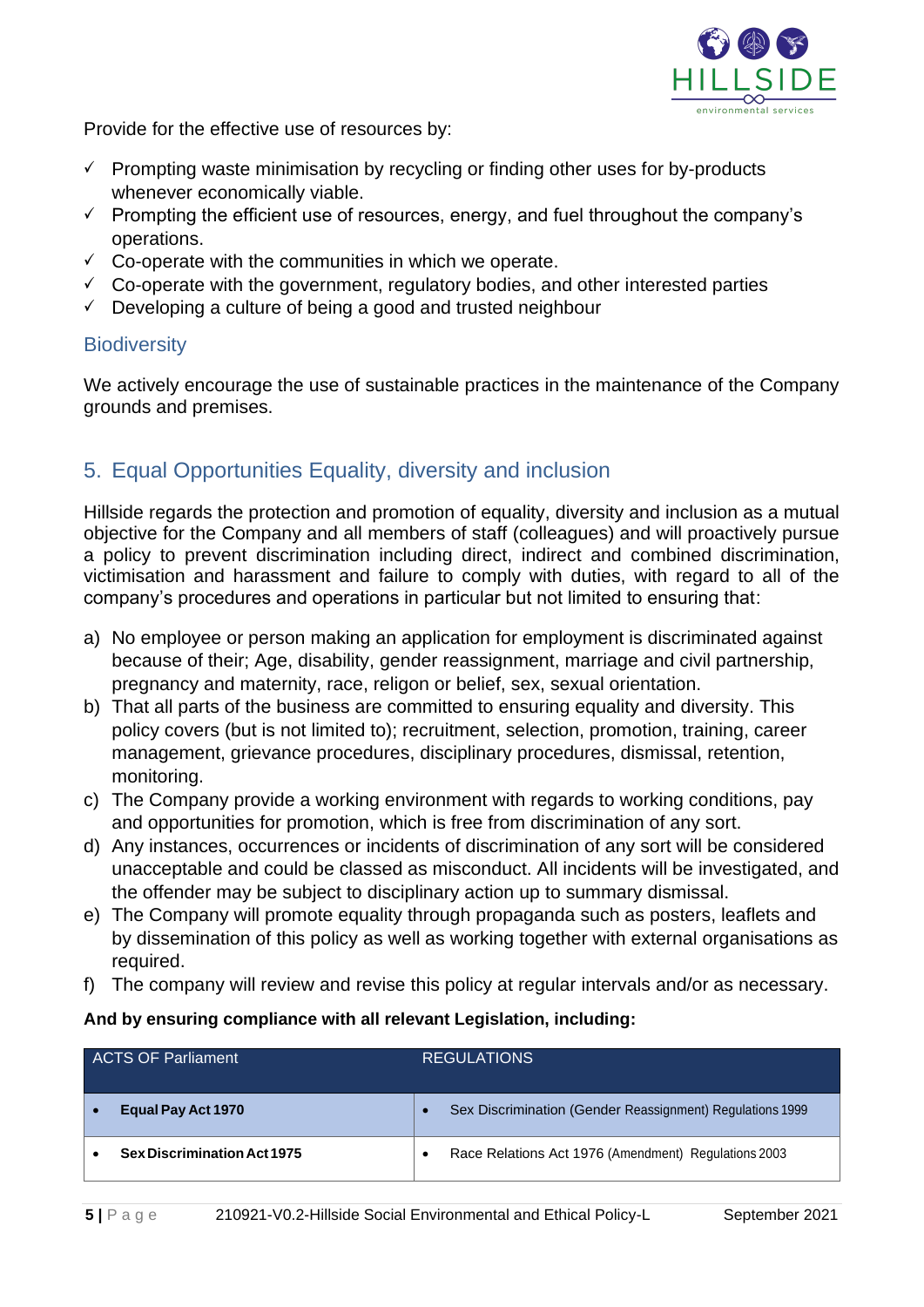

Provide for the effective use of resources by:

- $\checkmark$  Prompting waste minimisation by recycling or finding other uses for by-products whenever economically viable.
- $\checkmark$  Prompting the efficient use of resources, energy, and fuel throughout the company's operations.
- $\checkmark$  Co-operate with the communities in which we operate.
- $\checkmark$  Co-operate with the government, regulatory bodies, and other interested parties
- $\checkmark$  Developing a culture of being a good and trusted neighbour

# **Biodiversity**

We actively encourage the use of sustainable practices in the maintenance of the Company grounds and premises.

# 5. Equal Opportunities Equality, diversity and inclusion

Hillside regards the protection and promotion of equality, diversity and inclusion as a mutual objective for the Company and all members of staff (colleagues) and will proactively pursue a policy to prevent discrimination including direct, indirect and combined discrimination, victimisation and harassment and failure to comply with duties, with regard to all of the company's procedures and operations in particular but not limited to ensuring that:

- a) No employee or person making an application for employment is discriminated against because of their; Age, disability, gender reassignment, marriage and civil partnership, pregnancy and maternity, race, religon or belief, sex, sexual orientation.
- b) That all parts of the business are committed to ensuring equality and diversity. This policy covers (but is not limited to); recruitment, selection, promotion, training, career management, grievance procedures, disciplinary procedures, dismissal, retention, monitoring.
- c) The Company provide a working environment with regards to working conditions, pay and opportunities for promotion, which is free from discrimination of any sort.
- d) Any instances, occurrences or incidents of discrimination of any sort will be considered unacceptable and could be classed as misconduct. All incidents will be investigated, and the offender may be subject to disciplinary action up to summary dismissal.
- e) The Company will promote equality through propaganda such as posters, leaflets and by dissemination of this policy as well as working together with external organisations as required.
- f) The company will review and revise this policy at regular intervals and/or as necessary.

#### **And by ensuring compliance with all relevant Legislation, including:**

| <b>ACTS OF Parliament</b>          |   | <b>REGULATIONS</b>                                        |
|------------------------------------|---|-----------------------------------------------------------|
| Equal Pay Act 1970                 |   | Sex Discrimination (Gender Reassignment) Regulations 1999 |
| <b>Sex Discrimination Act 1975</b> | ٠ | Race Relations Act 1976 (Amendment) Regulations 2003      |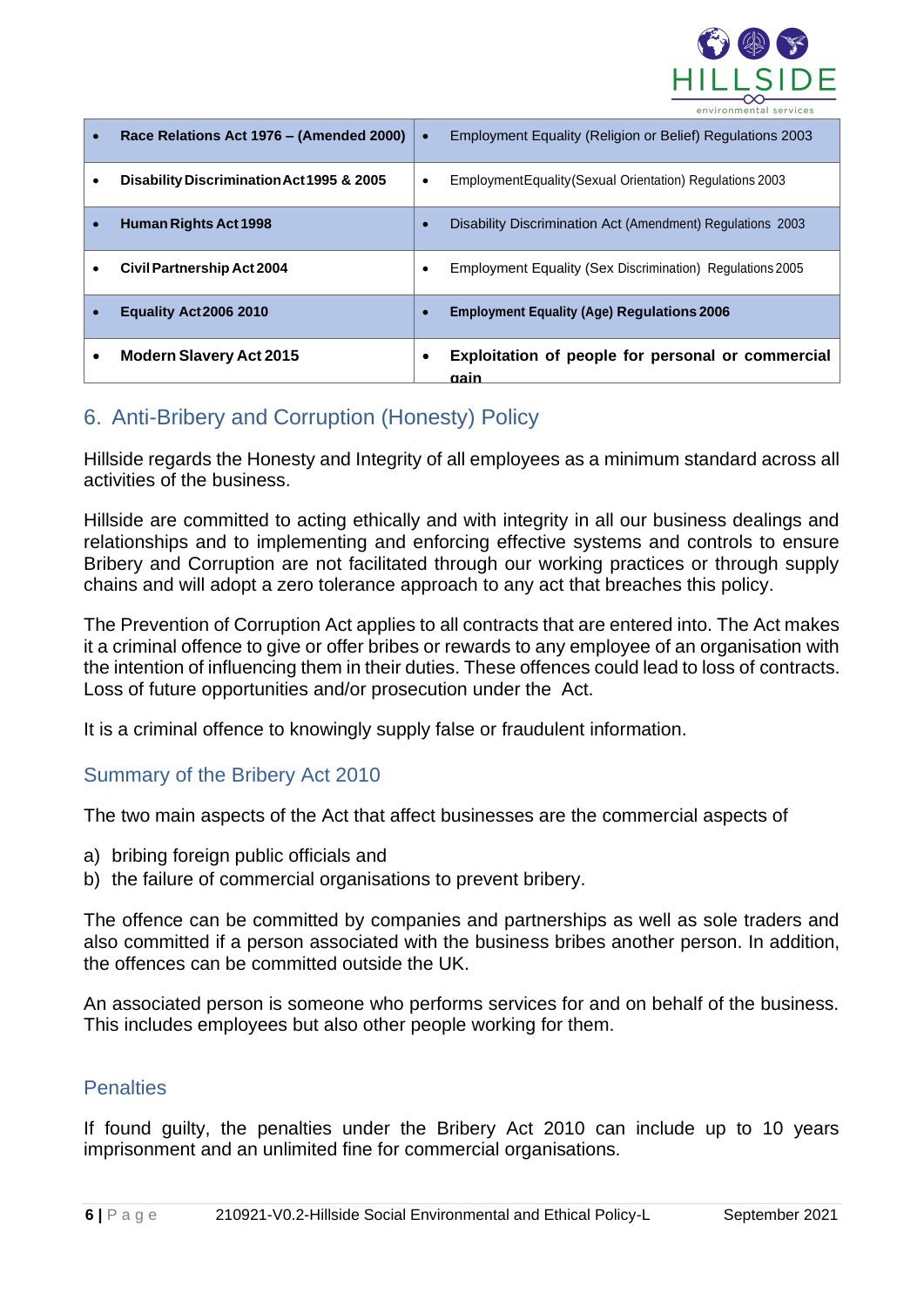

| Race Relations Act 1976 – (Amended 2000)  |   | Employment Equality (Religion or Belief) Regulations 2003  |
|-------------------------------------------|---|------------------------------------------------------------|
| Disability Discrimination Act 1995 & 2005 | ٠ | Employment Equality (Sexual Orientation) Regulations 2003  |
| <b>Human Rights Act 1998</b>              |   | Disability Discrimination Act (Amendment) Regulations 2003 |
| <b>Civil Partnership Act 2004</b>         |   | Employment Equality (Sex Discrimination) Regulations 2005  |
| Equality Act 2006 2010                    |   | <b>Employment Equality (Age) Regulations 2006</b>          |
| <b>Modern Slavery Act 2015</b>            |   | Exploitation of people for personal or commercial<br>aain  |

# 6. Anti-Bribery and Corruption (Honesty) Policy

Hillside regards the Honesty and Integrity of all employees as a minimum standard across all activities of the business.

Hillside are committed to acting ethically and with integrity in all our business dealings and relationships and to implementing and enforcing effective systems and controls to ensure Bribery and Corruption are not facilitated through our working practices or through supply chains and will adopt a zero tolerance approach to any act that breaches this policy.

The Prevention of Corruption Act applies to all contracts that are entered into. The Act makes it a criminal offence to give or offer bribes or rewards to any employee of an organisation with the intention of influencing them in their duties. These offences could lead to loss of contracts. Loss of future opportunities and/or prosecution under the Act.

It is a criminal offence to knowingly supply false or fraudulent information.

#### Summary of the Bribery Act 2010

The two main aspects of the Act that affect businesses are the commercial aspects of

- a) bribing foreign public officials and
- b) the failure of commercial organisations to prevent bribery.

The offence can be committed by companies and partnerships as well as sole traders and also committed if a person associated with the business bribes another person. In addition, the offences can be committed outside the UK.

An associated person is someone who performs services for and on behalf of the business. This includes employees but also other people working for them.

#### **Penalties**

If found guilty, the penalties under the Bribery Act 2010 can include up to 10 years imprisonment and an unlimited fine for commercial organisations.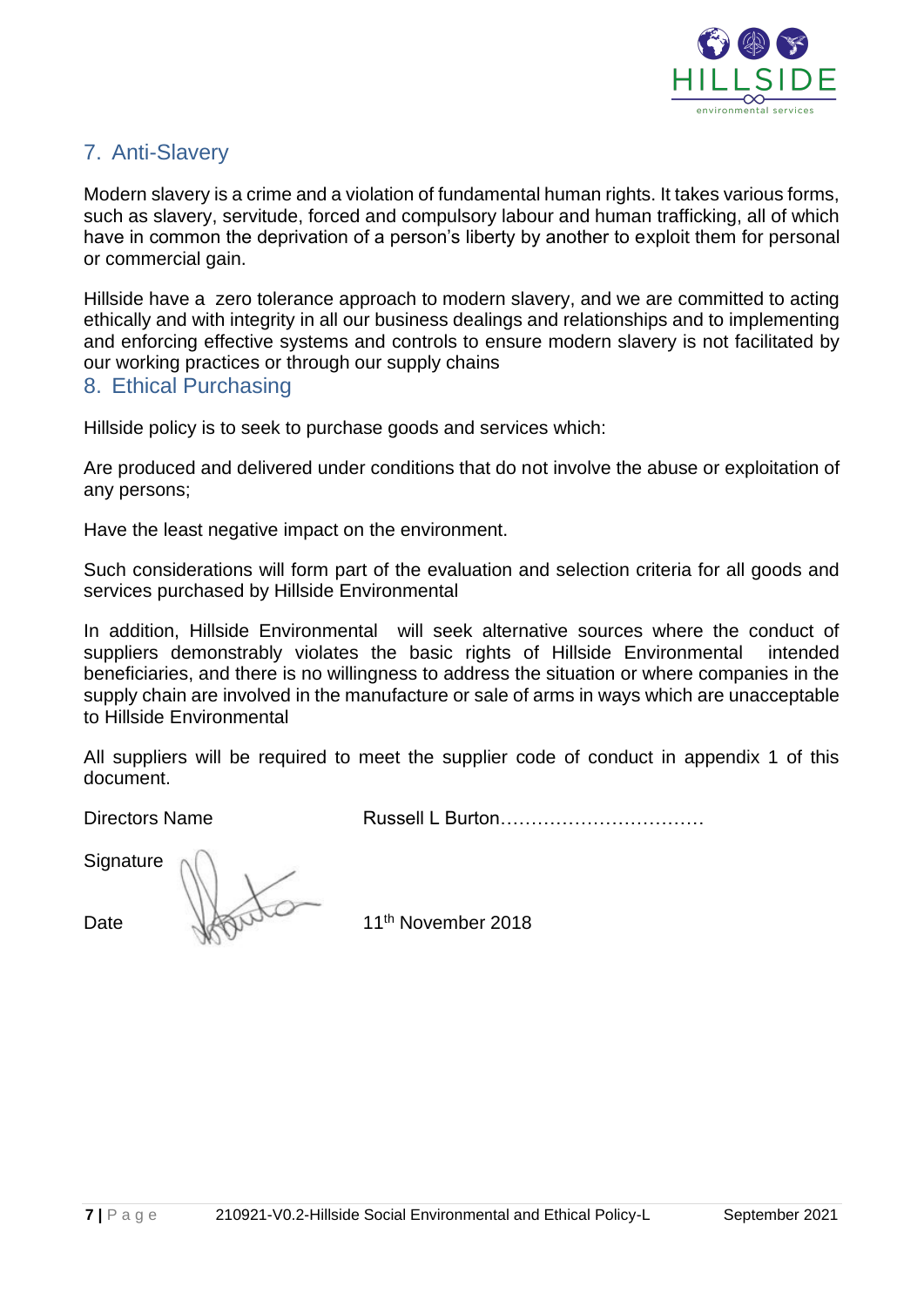

# 7. Anti-Slavery

Modern slavery is a crime and a violation of fundamental human rights. It takes various forms, such as slavery, servitude, forced and compulsory labour and human trafficking, all of which have in common the deprivation of a person's liberty by another to exploit them for personal or commercial gain.

Hillside have a zero tolerance approach to modern slavery, and we are committed to acting ethically and with integrity in all our business dealings and relationships and to implementing and enforcing effective systems and controls to ensure modern slavery is not facilitated by our working practices or through our supply chains

#### 8. Ethical Purchasing

Hillside policy is to seek to purchase goods and services which:

Are produced and delivered under conditions that do not involve the abuse or exploitation of any persons;

Have the least negative impact on the environment.

Such considerations will form part of the evaluation and selection criteria for all goods and services purchased by Hillside Environmental

In addition, Hillside Environmental will seek alternative sources where the conduct of suppliers demonstrably violates the basic rights of Hillside Environmental intended beneficiaries, and there is no willingness to address the situation or where companies in the supply chain are involved in the manufacture or sale of arms in ways which are unacceptable to Hillside Environmental

All suppliers will be required to meet the supplier code of conduct in appendix 1 of this document.

Directors Name Russell L Burton……………………………

**Signature** 

Date Washington 11<sup>th</sup> November 2018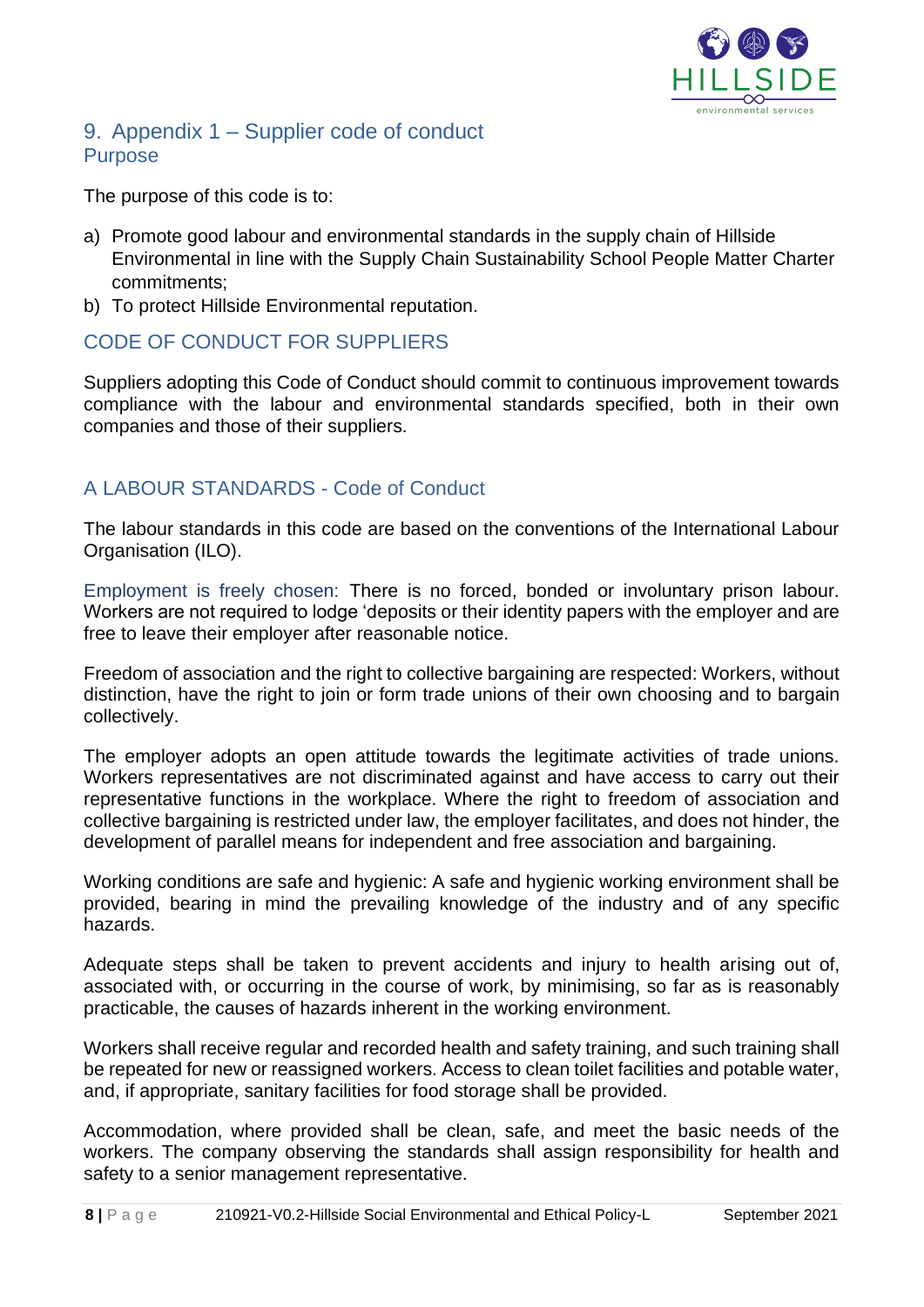

## 9. Appendix 1 – Supplier code of conduct Purpose

The purpose of this code is to:

- a) Promote good labour and environmental standards in the supply chain of Hillside Environmental in line with the Supply Chain Sustainability School People Matter Charter commitments;
- b) To protect Hillside Environmental reputation.

# CODE OF CONDUCT FOR SUPPLIERS

Suppliers adopting this Code of Conduct should commit to continuous improvement towards compliance with the labour and environmental standards specified, both in their own companies and those of their suppliers.

# A LABOUR STANDARDS - Code of Conduct

The labour standards in this code are based on the conventions of the International Labour Organisation (ILO).

Employment is freely chosen: There is no forced, bonded or involuntary prison labour. Workers are not required to lodge 'deposits or their identity papers with the employer and are free to leave their employer after reasonable notice.

Freedom of association and the right to collective bargaining are respected: Workers, without distinction, have the right to join or form trade unions of their own choosing and to bargain collectively.

The employer adopts an open attitude towards the legitimate activities of trade unions. Workers representatives are not discriminated against and have access to carry out their representative functions in the workplace. Where the right to freedom of association and collective bargaining is restricted under law, the employer facilitates, and does not hinder, the development of parallel means for independent and free association and bargaining.

Working conditions are safe and hygienic: A safe and hygienic working environment shall be provided, bearing in mind the prevailing knowledge of the industry and of any specific hazards.

Adequate steps shall be taken to prevent accidents and injury to health arising out of, associated with, or occurring in the course of work, by minimising, so far as is reasonably practicable, the causes of hazards inherent in the working environment.

Workers shall receive regular and recorded health and safety training, and such training shall be repeated for new or reassigned workers. Access to clean toilet facilities and potable water, and, if appropriate, sanitary facilities for food storage shall be provided.

Accommodation, where provided shall be clean, safe, and meet the basic needs of the workers. The company observing the standards shall assign responsibility for health and safety to a senior management representative.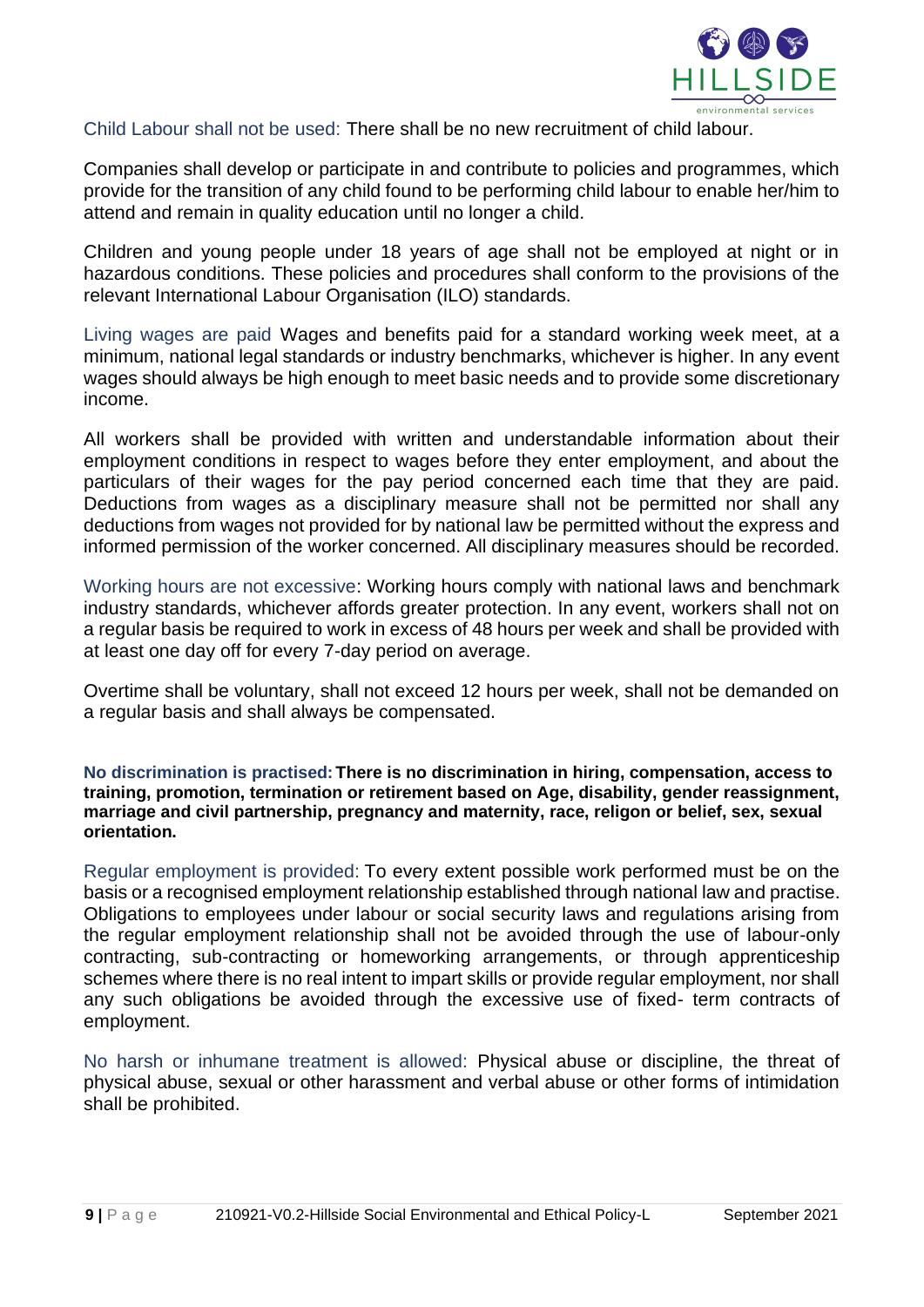

Child Labour shall not be used: There shall be no new recruitment of child labour.

Companies shall develop or participate in and contribute to policies and programmes, which provide for the transition of any child found to be performing child labour to enable her/him to attend and remain in quality education until no longer a child.

Children and young people under 18 years of age shall not be employed at night or in hazardous conditions. These policies and procedures shall conform to the provisions of the relevant International Labour Organisation (ILO) standards.

Living wages are paid Wages and benefits paid for a standard working week meet, at a minimum, national legal standards or industry benchmarks, whichever is higher. In any event wages should always be high enough to meet basic needs and to provide some discretionary income.

All workers shall be provided with written and understandable information about their employment conditions in respect to wages before they enter employment, and about the particulars of their wages for the pay period concerned each time that they are paid. Deductions from wages as a disciplinary measure shall not be permitted nor shall any deductions from wages not provided for by national law be permitted without the express and informed permission of the worker concerned. All disciplinary measures should be recorded.

Working hours are not excessive: Working hours comply with national laws and benchmark industry standards, whichever affords greater protection. In any event, workers shall not on a regular basis be required to work in excess of 48 hours per week and shall be provided with at least one day off for every 7-day period on average.

Overtime shall be voluntary, shall not exceed 12 hours per week, shall not be demanded on a regular basis and shall always be compensated.

**No discrimination is practised:There is no discrimination in hiring, compensation, access to training, promotion, termination or retirement based on Age, disability, gender reassignment, marriage and civil partnership, pregnancy and maternity, race, religon or belief, sex, sexual orientation.**

Regular employment is provided: To every extent possible work performed must be on the basis or a recognised employment relationship established through national law and practise. Obligations to employees under labour or social security laws and regulations arising from the regular employment relationship shall not be avoided through the use of labour-only contracting, sub-contracting or homeworking arrangements, or through apprenticeship schemes where there is no real intent to impart skills or provide regular employment, nor shall any such obligations be avoided through the excessive use of fixed- term contracts of employment.

No harsh or inhumane treatment is allowed: Physical abuse or discipline, the threat of physical abuse, sexual or other harassment and verbal abuse or other forms of intimidation shall be prohibited.